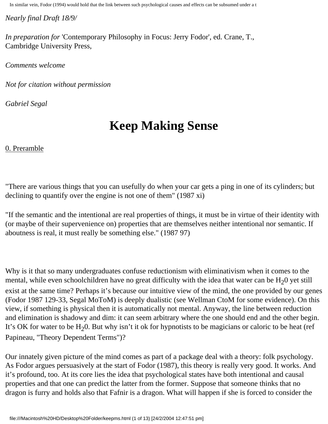*Nearly final Draft 18/9/*

*In preparation for* 'Contemporary Philosophy in Focus: Jerry Fodor', ed. Crane, T., Cambridge University Press,

*Comments welcome*

*Not for citation without permission*

*Gabriel Segal* 

# **Keep Making Sense**

## 0. Preramble

"There are various things that you can usefully do when your car gets a ping in one of its cylinders; but declining to quantify over the engine is not one of them" (1987 xi)

"If the semantic and the intentional are real properties of things, it must be in virtue of their identity with (or maybe of their supervenience on) properties that are themselves neither intentional nor semantic. If aboutness is real, it must really be something else." (1987 97)

Why is it that so many undergraduates confuse reductionism with eliminativism when it comes to the mental, while even schoolchildren have no great difficulty with the idea that water can be  $H<sub>2</sub>0$  yet still exist at the same time? Perhaps it's because our intuitive view of the mind, the one provided by our genes (Fodor 1987 129-33, Segal MoToM) is deeply dualistic (see Wellman CtoM for some evidence). On this view, if something is physical then it is automatically not mental. Anyway, the line between reduction and elimination is shadowy and dim: it can seem arbitrary where the one should end and the other begin. It's OK for water to be  $H_20$ . But why isn't it ok for hypnotists to be magicians or caloric to be heat (ref Papineau, "Theory Dependent Terms")?

Our innately given picture of the mind comes as part of a package deal with a theory: folk psychology. As Fodor argues persuasively at the start of Fodor (1987), this theory is really very good. It works. And it's profound, too. At its core lies the idea that psychological states have both intentional and causal properties and that one can predict the latter from the former. Suppose that someone thinks that no dragon is furry and holds also that Fafnir is a dragon. What will happen if she is forced to consider the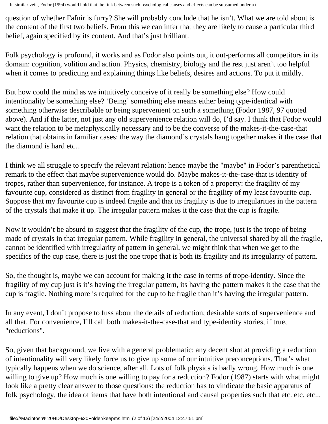question of whether Fafnir is furry? She will probably conclude that he isn't. What we are told about is the content of the first two beliefs. From this we can infer that they are likely to cause a particular third belief, again specified by its content. And that's just brilliant.

Folk psychology is profound, it works and as Fodor also points out, it out-performs all competitors in its domain: cognition, volition and action. Physics, chemistry, biology and the rest just aren't too helpful when it comes to predicting and explaining things like beliefs, desires and actions. To put it mildly.

But how could the mind as we intuitively conceive of it really be something else? How could intentionality be something else? 'Being' something else means either being type-identical with something otherwise describable or being supervenient on such a something (Fodor 1987, 97 quoted above). And if the latter, not just any old supervenience relation will do, I'd say. I think that Fodor would want the relation to be metaphysically necessary and to be the converse of the makes-it-the-case-that relation that obtains in familiar cases: the way the diamond's crystals hang together makes it the case that the diamond is hard etc...

I think we all struggle to specify the relevant relation: hence maybe the "maybe" in Fodor's parenthetical remark to the effect that maybe supervenience would do. Maybe makes-it-the-case-that is identity of tropes, rather than supervenience, for instance. A trope is a token of a property: the fragility of my favourite cup, considered as distinct from fragility in general or the fragility of my least favourite cup. Suppose that my favourite cup is indeed fragile and that its fragility is due to irregularities in the pattern of the crystals that make it up. The irregular pattern makes it the case that the cup is fragile.

Now it wouldn't be absurd to suggest that the fragility of the cup, the trope, just is the trope of being made of crystals in that irregular pattern. While fragility in general, the universal shared by all the fragile, cannot be identified with irregularity of pattern in general, we might think that when we get to the specifics of the cup case, there is just the one trope that is both its fragility and its irregularity of pattern.

So, the thought is, maybe we can account for making it the case in terms of trope-identity. Since the fragility of my cup just is it's having the irregular pattern, its having the pattern makes it the case that the cup is fragile. Nothing more is required for the cup to be fragile than it's having the irregular pattern.

In any event, I don't propose to fuss about the details of reduction, desirable sorts of supervenience and all that. For convenience, I'll call both makes-it-the-case-that and type-identity stories, if true, "reductions".

So, given that background, we live with a general problematic: any decent shot at providing a reduction of intentionality will very likely force us to give up some of our intuitive preconceptions. That's what typically happens when we do science, after all. Lots of folk physics is badly wrong. How much is one willing to give up? How much is one willing to pay for a reduction? Fodor (1987) starts with what might look like a pretty clear answer to those questions: the reduction has to vindicate the basic apparatus of folk psychology, the idea of items that have both intentional and causal properties such that etc. etc...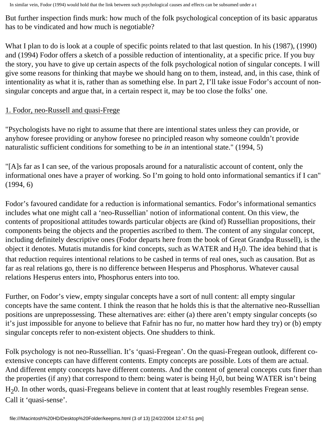But further inspection finds murk: how much of the folk psychological conception of its basic apparatus has to be vindicated and how much is negotiable?

What I plan to do is look at a couple of specific points related to that last question. In his (1987), (1990) and (1994) Fodor offers a sketch of a possible reduction of intentionality, at a specific price. If you buy the story, you have to give up certain aspects of the folk psychological notion of singular concepts. I will give some reasons for thinking that maybe we should hang on to them, instead, and, in this case, think of intentionality as what it is, rather than as something else. In part 2, I'll take issue Fodor's account of nonsingular concepts and argue that, in a certain respect it, may be too close the folks' one.

#### 1. Fodor, neo-Russell and quasi-Frege

"Psychologists have no right to assume that there are intentional states unless they can provide, or anyhow foresee providing or anyhow foresee no principled reason why someone couldn't provide naturalistic sufficient conditions for something to be *in* an intentional state." (1994, 5)

"[A]s far as I can see, of the various proposals around for a naturalistic account of content, only the informational ones have a prayer of working. So I'm going to hold onto informational semantics if I can" (1994, 6)

Fodor's favoured candidate for a reduction is informational semantics. Fodor's informational semantics includes what one might call a 'neo-Russellian' notion of informational content. On this view, the contents of propositional attitudes towards particular objects are (kind of) Russellian propositions, their components being the objects and the properties ascribed to them. The content of any singular concept, including definitely descriptive ones (Fodor departs here from the book of Great Grandpa Russell), is the object it denotes. Mutatis mutandis for kind concepts, such as WATER and  $H<sub>2</sub>0$ . The idea behind that is that reduction requires intentional relations to be cashed in terms of real ones, such as causation. But as far as real relations go, there is no difference between Hesperus and Phosphorus. Whatever causal relations Hesperus enters into, Phosphorus enters into too.

Further, on Fodor's view, empty singular concepts have a sort of null content: all empty singular concepts have the same content. I think the reason that he holds this is that the alternative neo-Russellian positions are unprepossessing. These alternatives are: either (a) there aren't empty singular concepts (so it's just impossible for anyone to believe that Fafnir has no fur, no matter how hard they try) or (b) empty singular concepts refer to non-existent objects. One shudders to think.

Folk psychology is not neo-Russellian. It's 'quasi-Fregean'. On the quasi-Fregean outlook, different coextensive concepts can have different contents. Empty concepts are possible. Lots of them are actual. And different empty concepts have different contents. And the content of general concepts cuts finer than the properties (if any) that correspond to them: being water is being  $H<sub>2</sub>0$ , but being WATER isn't being H20. In other words*,* quasi-Fregeans believe in content that at least roughly resembles Fregean sense. Call it 'quasi-sense'.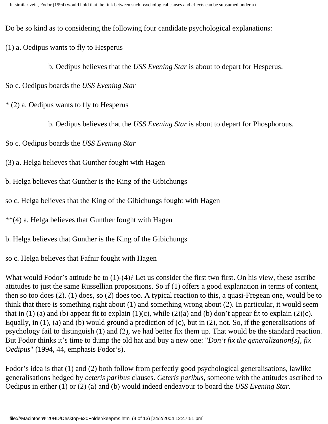Do be so kind as to considering the following four candidate psychological explanations:

- (1) a. Oedipus wants to fly to Hesperus
	- b. Oedipus believes that the *USS Evening Star* is about to depart for Hesperus.
- So c. Oedipus boards the *USS Evening Star*
- \* (2) a. Oedipus wants to fly to Hesperus
	- b. Oedipus believes that the *USS Evening Star* is about to depart for Phosphorous.
- So c. Oedipus boards the *USS Evening Star*
- (3) a. Helga believes that Gunther fought with Hagen
- b. Helga believes that Gunther is the King of the Gibichungs
- so c. Helga believes that the King of the Gibichungs fought with Hagen
- \*\*(4) a. Helga believes that Gunther fought with Hagen
- b. Helga believes that Gunther is the King of the Gibichungs
- so c. Helga believes that Fafnir fought with Hagen

What would Fodor's attitude be to  $(1)-(4)$ ? Let us consider the first two first. On his view, these ascribe attitudes to just the same Russellian propositions. So if (1) offers a good explanation in terms of content, then so too does (2). (1) does, so (2) does too. A typical reaction to this, a quasi-Fregean one, would be to think that there is something right about (1) and something wrong about (2). In particular, it would seem that in (1) (a) and (b) appear fit to explain (1)(c), while (2)(a) and (b) don't appear fit to explain (2)(c). Equally, in (1), (a) and (b) would ground a prediction of (c), but in (2), not. So, if the generalisations of psychology fail to distinguish (1) and (2), we had better fix them up. That would be the standard reaction. But Fodor thinks it's time to dump the old hat and buy a new one: "*Don't fix the generalization[s], fix Oedipus*" (1994, 44, emphasis Fodor's).

Fodor's idea is that (1) and (2) both follow from perfectly good psychological generalisations, lawlike generalisations hedged by *ceteris paribus* clauses. *Ceteris paribus*, someone with the attitudes ascribed to Oedipus in either (1) or (2) (a) and (b) would indeed endeavour to board the *USS Evening Star*.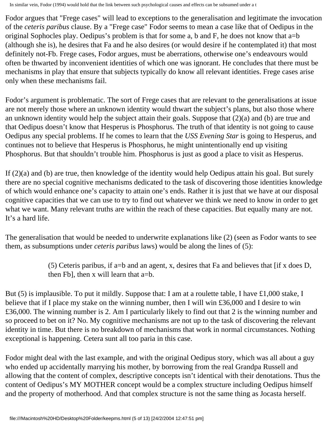Fodor argues that "Frege cases" will lead to exceptions to the generalisation and legitimate the invocation of the *ceteris paribus* clause. By a "Frege case" Fodor seems to mean a case like that of Oedipus in the original Sophocles play. Oedipus's problem is that for some a, b and F, he does not know that a=b (although she is), he desires that Fa and he also desires (or would desire if he contemplated it) that most definitely not-Fb. Frege cases, Fodor argues, must be aberrations, otherwise one's endeavours would often be thwarted by inconvenient identities of which one was ignorant. He concludes that there must be mechanisms in play that ensure that subjects typically do know all relevant identities. Frege cases arise only when these mechanisms fail.

Fodor's argument is problematic. The sort of Frege cases that are relevant to the generalisations at issue are not merely those where an unknown identity would thwart the subject's plans, but also those where an unknown identity would help the subject attain their goals. Suppose that (2)(a) and (b) are true and that Oedipus doesn't know that Hesperus is Phosphorus. The truth of that identity is not going to cause Oedipus any special problems. If he comes to learn that the *USS Evening Star* is going to Hesperus, and continues not to believe that Hesperus is Phosphorus, he might unintentionally end up visiting Phosphorus. But that shouldn't trouble him. Phosphorus is just as good a place to visit as Hesperus.

If (2)(a) and (b) are true, then knowledge of the identity would help Oedipus attain his goal. But surely there are no special cognitive mechanisms dedicated to the task of discovering those identities knowledge of which would enhance one's capacity to attain one's ends. Rather it is just that we have at our disposal cognitive capacities that we can use to try to find out whatever we think we need to know in order to get what we want. Many relevant truths are within the reach of these capacities. But equally many are not. It's a hard life.

The generalisation that would be needed to underwrite explanations like (2) (seen as Fodor wants to see them, as subsumptions under *ceteris paribus* laws) would be along the lines of (5):

> (5) Ceteris paribus, if a=b and an agent, x, desires that Fa and believes that [if x does D, then Fb], then x will learn that a=b.

But (5) is implausible. To put it mildly. Suppose that: I am at a roulette table, I have £1,000 stake, I believe that if I place my stake on the winning number, then I will win £36,000 and I desire to win £36,000. The winning number is 2. Am I particularly likely to find out that 2 is the winning number and so proceed to bet on it? No. My cognitive mechanisms are not up to the task of discovering the relevant identity in time. But there is no breakdown of mechanisms that work in normal circumstances. Nothing exceptional is happening. Cetera sunt all too paria in this case.

Fodor might deal with the last example, and with the original Oedipus story, which was all about a guy who ended up accidentally marrying his mother, by borrowing from the real Grandpa Russell and allowing that the content of complex, descriptive concepts isn't identical with their denotations. Thus the content of Oedipus's MY MOTHER concept would be a complex structure including Oedipus himself and the property of motherhood. And that complex structure is not the same thing as Jocasta herself.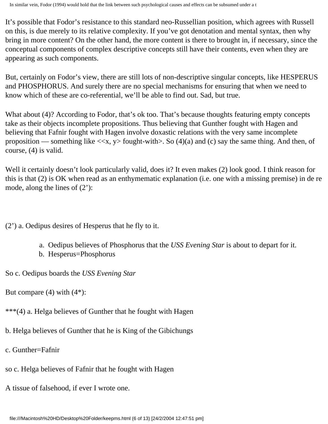It's possible that Fodor's resistance to this standard neo-Russellian position, which agrees with Russell on this, is due merely to its relative complexity. If you've got denotation and mental syntax, then why bring in more content? On the other hand, the more content is there to brought in, if necessary, since the conceptual components of complex descriptive concepts still have their contents, even when they are appearing as such components.

But, certainly on Fodor's view, there are still lots of non-descriptive singular concepts, like HESPERUS and PHOSPHORUS. And surely there are no special mechanisms for ensuring that when we need to know which of these are co-referential, we'll be able to find out. Sad, but true.

What about (4)? According to Fodor, that's ok too. That's because thoughts featuring empty concepts take as their objects incomplete propositions. Thus believing that Gunther fought with Hagen and believing that Fafnir fought with Hagen involve doxastic relations with the very same incomplete proposition — something like  $\langle x, y \rangle$  fought-with $\langle x, y \rangle$ . So (4)(a) and (c) say the same thing. And then, of course, (4) is valid.

Well it certainly doesn't look particularly valid, does it? It even makes (2) look good. I think reason for this is that (2) is OK when read as an enthymematic explanation (i.e. one with a missing premise) in de re mode, along the lines of (2'):

(2') a. Oedipus desires of Hesperus that he fly to it.

- a. Oedipus believes of Phosphorus that the *USS Evening Star* is about to depart for it.
- b. Hesperus=Phosphorus

So c. Oedipus boards the *USS Evening Star*

But compare  $(4)$  with  $(4^*)$ :

\*\*\*(4) a. Helga believes of Gunther that he fought with Hagen

b. Helga believes of Gunther that he is King of the Gibichungs

c. Gunther=Fafnir

- so c. Helga believes of Fafnir that he fought with Hagen
- A tissue of falsehood, if ever I wrote one.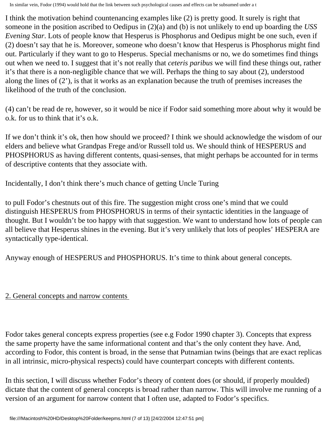I think the motivation behind countenancing examples like (2) is pretty good. It surely is right that someone in the position ascribed to Oedipus in (2)(a) and (b) is not unlikely to end up boarding the *USS Evening Star*. Lots of people know that Hesperus is Phosphorus and Oedipus might be one such, even if (2) doesn't say that he is. Moreover, someone who doesn't know that Hesperus is Phosphorus might find out. Particularly if they want to go to Hesperus. Special mechanisms or no, we do sometimes find things out when we need to. I suggest that it's not really that *ceteris paribus* we will find these things out, rather it's that there is a non-negligible chance that we will. Perhaps the thing to say about (2), understood along the lines of (2'), is that it works as an explanation because the truth of premises increases the likelihood of the truth of the conclusion.

(4) can't be read de re, however, so it would be nice if Fodor said something more about why it would be o.k. for us to think that it's o.k.

If we don't think it's ok, then how should we proceed? I think we should acknowledge the wisdom of our elders and believe what Grandpas Frege and/or Russell told us. We should think of HESPERUS and PHOSPHORUS as having different contents, quasi-senses, that might perhaps be accounted for in terms of descriptive contents that they associate with.

Incidentally, I don't think there's much chance of getting Uncle Turing

to pull Fodor's chestnuts out of this fire. The suggestion might cross one's mind that we could distinguish HESPERUS from PHOSPHORUS in terms of their syntactic identities in the language of thought. But I wouldn't be too happy with that suggestion. We want to understand how lots of people can all believe that Hesperus shines in the evening. But it's very unlikely that lots of peoples' HESPERA are syntactically type-identical.

Anyway enough of HESPERUS and PHOSPHORUS. It's time to think about general concepts.

# 2. General concepts and narrow contents

Fodor takes general concepts express properties (see e.g Fodor 1990 chapter 3). Concepts that express the same property have the same informational content and that's the only content they have. And, according to Fodor, this content is broad, in the sense that Putnamian twins (beings that are exact replicas in all intrinsic, micro-physical respects) could have counterpart concepts with different contents.

In this section, I will discuss whether Fodor's theory of content does (or should, if properly moulded) dictate that the content of general concepts is broad rather than narrow. This will involve me running of a version of an argument for narrow content that I often use, adapted to Fodor's specifics.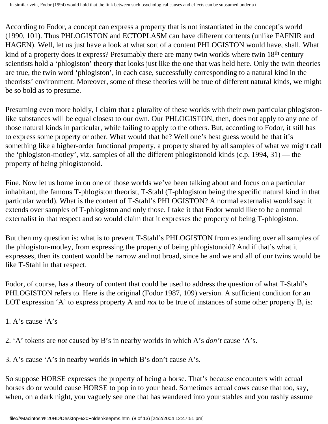According to Fodor, a concept can express a property that is not instantiated in the concept's world (1990, 101). Thus PHLOGISTON and ECTOPLASM can have different contents (unlike FAFNIR and HAGEN). Well, let us just have a look at what sort of a content PHLOGISTON would have, shall. What kind of a property does it express? Presumably there are many twin worlds where twin 18<sup>th</sup> century scientists hold a 'phlogiston' theory that looks just like the one that was held here. Only the twin theories are true, the twin word 'phlogiston', in each case, successfully corresponding to a natural kind in the theorists' environment. Moreover, some of these theories will be true of different natural kinds, we might be so bold as to presume.

Presuming even more boldly, I claim that a plurality of these worlds with their own particular phlogistonlike substances will be equal closest to our own. Our PHLOGISTON, then, does not apply to any one of those natural kinds in particular, while failing to apply to the others. But, according to Fodor, it still has to express some property or other. What would that be? Well one's best guess would be that it's something like a higher-order functional property, a property shared by all samples of what we might call the 'phlogiston-motley', viz. samples of all the different phlogistonoid kinds (c.p. 1994, 31) — the property of being phlogistonoid.

Fine. Now let us home in on one of those worlds we've been talking about and focus on a particular inhabitant, the famous T-phlogiston theorist, T-Stahl (T-phlogiston being the specific natural kind in that particular world). What is the content of T-Stahl's PHLOGISTON? A normal externalist would say: it extends over samples of T-phlogiston and only those. I take it that Fodor would like to be a normal externalist in that respect and so would claim that it expresses the property of being T-phlogiston.

But then my question is: what is to prevent T-Stahl's PHLOGISTON from extending over all samples of the phlogiston-motley, from expressing the property of being phlogistonoid? And if that's what it expresses, then its content would be narrow and not broad, since he and we and all of our twins would be like T-Stahl in that respect.

Fodor, of course, has a theory of content that could be used to address the question of what T-Stahl's PHLOGISTON refers to. Here is the original (Fodor 1987, 109) version. A sufficient condition for an LOT expression 'A' to express property A and *not* to be true of instances of some other property B, is:

1. A's cause 'A's

2. 'A' tokens are *not* caused by B's in nearby worlds in which A's *don't* cause 'A's.

3. A's cause 'A's in nearby worlds in which B's don't cause A's.

So suppose HORSE expresses the property of being a horse. That's because encounters with actual horses do or would cause HORSE to pop in to your head. Sometimes actual cows cause that too, say, when, on a dark night, you vaguely see one that has wandered into your stables and you rashly assume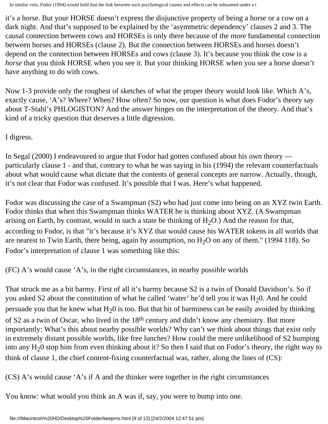it's a horse. But your HORSE doesn't express the disjunctive property of being a horse or a cow on a dark night. And that's supposed to be explained by the 'asymmetric dependency' clauses 2 and 3. The causal connection between cows and HORSEs is only there because of the more fundamental connection between horses and HORSEs (clause 2). But the connection between HORSEs and horses doesn't depend on the connection between HORSEs and cows (clause 3). It's because you think the cow is a *horse* that you think HORSE when you see it. But your thinking HORSE when you see a horse doesn't have anything to do with cows.

Now 1-3 provide only the roughest of sketches of what the proper theory would look like. Which A's, exactly cause, 'A's? Where? When? How often? So now, our question is what does Fodor's theory say about T-Stahl's PHLOGISTON? And the answer hinges on the interpretation of the theory. And that's kind of a tricky question that deserves a little digression.

I digress.

In Segal (2000) I endeavoured to argue that Fodor had gotten confused about his own theory particularly clause 1 - and that, contrary to what he was saying in his (1994) the relevant counterfactuals about what would cause what dictate that the contents of general concepts are narrow. Actually, though, it's not clear that Fodor was confused. It's possible that I was. Here's what happened.

Fodor was discussing the case of a Swampman (S2) who had just come into being on an XYZ twin Earth. Fodor thinks that when this Swampman thinks WATER he is thinking about XYZ. (A Swampman arising on Earth, by contrast, would in such a state be thinking of  $H_2O$ .) And the reason for that, according to Fodor, is that "it's because it's XYZ that would cause his WATER tokens in all worlds that are nearest to Twin Earth, there being, again by assumption, no  $H<sub>2</sub>O$  on any of them." (1994 118). So Fodor's interpretation of clause 1 was something like this:

(FC) A's would cause 'A's, in the right circumstances, in nearby possible worlds

That struck me as a bit barmy. First of all it's barmy because S2 is a twin of Donald Davidson's. So if you asked S2 about the constitution of what he called 'water' he'd tell you it was  $H_20$ . And he could persuade you that he knew what  $H<sub>2</sub>0$  is too. But that bit of barminess can be easily avoided by thinking

of S2 as a twin of Oscar, who lived in the 18<sup>th</sup> century and didn't know any chemistry. But more importantly: What's this about nearby possible worlds? Why can't we think about things that exist only in extremely distant possible worlds, like free lunches? How could the mere unlikelihood of S2 bumping into any  $H<sub>2</sub>0$  stop him from even thinking about it? So then I said that on Fodor's theory, the right way to think of clause 1, the chief content-fixing counterfactual was, rather, along the lines of (CS):

(CS) A's would cause 'A's if A and the thinker were together in the right circumstances

You know: what would you think an A was if, say, you were to bump into one.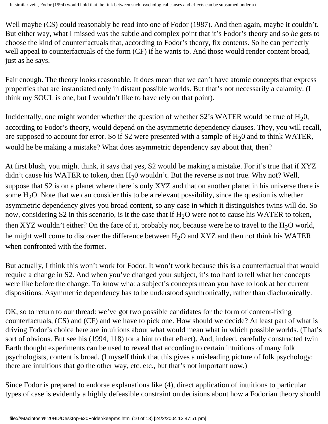Well maybe (CS) could reasonably be read into one of Fodor (1987). And then again, maybe it couldn't. But either way, what I missed was the subtle and complex point that it's Fodor's theory and so *he* gets to choose the kind of counterfactuals that, according to Fodor's theory, fix contents. So he can perfectly well appeal to counterfactuals of the form (CF) if he wants to. And those would render content broad, just as he says.

Fair enough. The theory looks reasonable. It does mean that we can't have atomic concepts that express properties that are instantiated only in distant possible worlds. But that's not necessarily a calamity. (I think my SOUL is one, but I wouldn't like to have rely on that point).

Incidentally, one might wonder whether the question of whether  $S2$ 's WATER would be true of  $H_20$ , according to Fodor's theory, would depend on the asymmetric dependency clauses. They, you will recall, are supposed to account for error. So if S2 were presented with a sample of  $H<sub>2</sub>0$  and to think WATER, would he be making a mistake? What does asymmetric dependency say about that, then?

At first blush, you might think, it says that yes, S2 would be making a mistake. For it's true that if XYZ didn't cause his WATER to token, then  $H<sub>2</sub>0$  wouldn't. But the reverse is not true. Why not? Well, suppose that S2 is on a planet where there is only XYZ and that on another planet in his universe there is some  $H_2O$ . Note that we can consider this to be a relevant possibility, since the question is whether asymmetric dependency gives you broad content, so any case in which it distinguishes twins will do. So now, considering S2 in this scenario, is it the case that if  $H_2O$  were not to cause his WATER to token, then XYZ wouldn't either? On the face of it, probably not, because were he to travel to the  $H_2O$  world, he might well come to discover the difference between  $H_2O$  and XYZ and then not think his WATER when confronted with the former.

But actually, I think this won't work for Fodor. It won't work because this is a counterfactual that would require a change in S2. And when you've changed your subject, it's too hard to tell what her concepts were like before the change. To know what a subject's concepts mean you have to look at her current dispositions. Asymmetric dependency has to be understood synchronically, rather than diachronically.

OK, so to return to our thread: we've got two possible candidates for the form of content-fixing counterfactuals, (CS) and (CF) and we have to pick one. How should we decide? At least part of what is driving Fodor's choice here are intuitions about what would mean what in which possible worlds. (That's sort of obvious. But see his (1994, 118) for a hint to that effect). And, indeed, carefully constructed twin Earth thought experiments can be used to reveal that according to certain intuitions of many folk psychologists, content is broad. (I myself think that this gives a misleading picture of folk psychology: there are intuitions that go the other way, etc. etc., but that's not important now.)

Since Fodor is prepared to endorse explanations like (4), direct application of intuitions to particular types of case is evidently a highly defeasible constraint on decisions about how a Fodorian theory should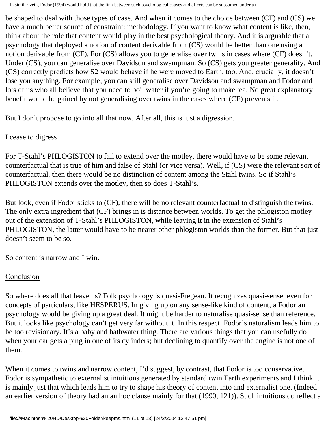be shaped to deal with those types of case. And when it comes to the choice between (CF) and (CS) we have a much better source of constraint: methodology. If you want to know what content is like, then, think about the role that content would play in the best psychological theory. And it is arguable that a psychology that deployed a notion of content derivable from (CS) would be better than one using a notion derivable from (CF). For (CS) allows you to generalise over twins in cases where (CF) doesn't. Under (CS), you can generalise over Davidson and swampman. So (CS) gets you greater generality. And (CS) correctly predicts how S2 would behave if he were moved to Earth, too. And, crucially, it doesn't lose you anything. For example, you can still generalise over Davidson and swampman and Fodor and lots of us who all believe that you need to boil water if you're going to make tea. No great explanatory benefit would be gained by not generalising over twins in the cases where (CF) prevents it.

But I don't propose to go into all that now. After all, this is just a digression.

## I cease to digress

For T-Stahl's PHLOGISTON to fail to extend over the motley, there would have to be some relevant counterfactual that is true of him and false of Stahl (or vice versa). Well, if (CS) were the relevant sort of counterfactual, then there would be no distinction of content among the Stahl twins. So if Stahl's PHLOGISTON extends over the motley, then so does T-Stahl's.

But look, even if Fodor sticks to (CF), there will be no relevant counterfactual to distinguish the twins. The only extra ingredient that (CF) brings in is distance between worlds. To get the phlogiston motley out of the extension of T-Stahl's PHLOGISTON, while leaving it in the extension of Stahl's PHLOGISTON, the latter would have to be nearer other phlogiston worlds than the former. But that just doesn't seem to be so.

So content is narrow and I win.

## Conclusion

So where does all that leave us? Folk psychology is quasi-Fregean. It recognizes quasi-sense, even for concepts of particulars, like HESPERUS. In giving up on any sense-like kind of content, a Fodorian psychology would be giving up a great deal. It might be harder to naturalise quasi-sense than reference. But it looks like psychology can't get very far without it. In this respect, Fodor's naturalism leads him to be too revisionary. It's a baby and bathwater thing. There are various things that you can usefully do when your car gets a ping in one of its cylinders; but declining to quantify over the engine is not one of them.

When it comes to twins and narrow content, I'd suggest, by contrast, that Fodor is too conservative. Fodor is sympathetic to externalist intuitions generated by standard twin Earth experiments and I think it is mainly just that which leads him to try to shape his theory of content into and externalist one. (Indeed an earlier version of theory had an an hoc clause mainly for that (1990, 121)). Such intuitions do reflect a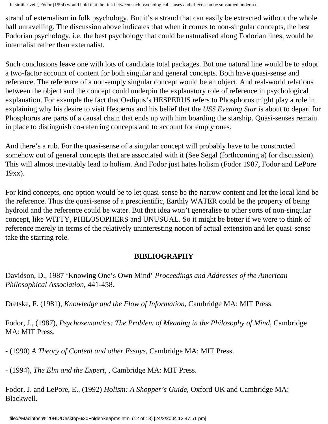strand of externalism in folk psychology. But it's a strand that can easily be extracted without the whole ball unravelling. The discussion above indicates that when it comes to non-singular concepts, the best Fodorian psychology, i.e. the best psychology that could be naturalised along Fodorian lines, would be internalist rather than externalist.

Such conclusions leave one with lots of candidate total packages. But one natural line would be to adopt a two-factor account of content for both singular and general concepts. Both have quasi-sense and reference. The reference of a non-empty singular concept would be an object. And real-world relations between the object and the concept could underpin the explanatory role of reference in psychological explanation. For example the fact that Oedipus's HESPERUS refers to Phosphorus might play a role in explaining why his desire to visit Hesperus and his belief that the *USS Evening Star* is about to depart for Phosphorus are parts of a causal chain that ends up with him boarding the starship. Quasi-senses remain in place to distinguish co-referring concepts and to account for empty ones.

And there's a rub. For the quasi-sense of a singular concept will probably have to be constructed somehow out of general concepts that are associated with it (See Segal (forthcoming a) for discussion). This will almost inevitably lead to holism. And Fodor just hates holism (Fodor 1987, Fodor and LePore 19xx).

For kind concepts, one option would be to let quasi-sense be the narrow content and let the local kind be the reference. Thus the quasi-sense of a prescientific, Earthly WATER could be the property of being hydroid and the reference could be water. But that idea won't generalise to other sorts of non-singular concept, like WITTY, PHILOSOPHERS and UNUSUAL. So it might be better if we were to think of reference merely in terms of the relatively uninteresting notion of actual extension and let quasi-sense take the starring role.

# **BIBLIOGRAPHY**

Davidson, D., 1987 'Knowing One's Own Mind' *Proceedings and Addresses of the American Philosophical Association*, 441-458.

Dretske, F. (1981), *Knowledge and the Flow of Information*, Cambridge MA: MIT Press.

Fodor, J., (1987), *Psychosemantics: The Problem of Meaning in the Philosophy of Mind*, Cambridge MA: MIT Press.

- (1990) *A Theory of Content and other Essays*, Cambridge MA: MIT Press.

- (1994), *The Elm and the Expert,* , Cambridge MA: MIT Press.

Fodor, J. and LePore, E., (1992) *Holism: A Shopper's Guide*, Oxford UK and Cambridge MA: Blackwell.